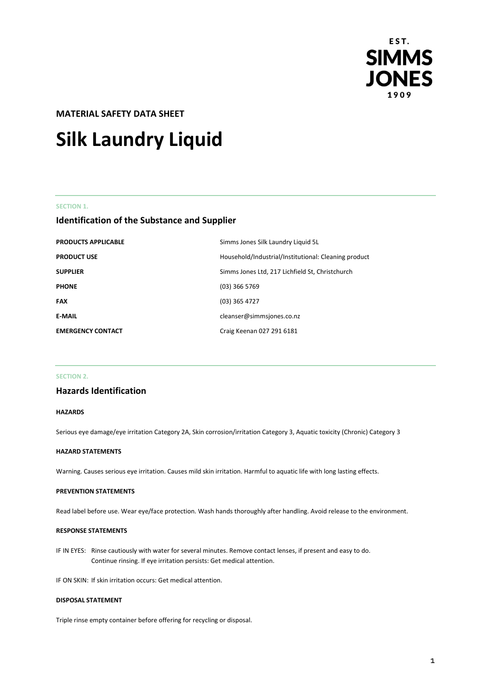

# **MATERIAL SAFETY DATA SHEET**

# **Silk Laundry Liquid**

#### **SECTION 1.**

# **Identification of the Substance and Supplier**

| <b>PRODUCTS APPLICABLE</b> | Simms Jones Silk Laundry Liquid 5L                   |
|----------------------------|------------------------------------------------------|
| <b>PRODUCT USE</b>         | Household/Industrial/Institutional: Cleaning product |
| <b>SUPPLIER</b>            | Simms Jones Ltd, 217 Lichfield St, Christchurch      |
| <b>PHONE</b>               | $(03)$ 366 5769                                      |
| <b>FAX</b>                 | $(03)$ 365 4727                                      |
| <b>E-MAIL</b>              | cleanser@simmsjones.co.nz                            |
| <b>EMERGENCY CONTACT</b>   | Craig Keenan 027 291 6181                            |

#### **SECTION 2.**

# **Hazards Identification**

#### **HAZARDS**

Serious eye damage/eye irritation Category 2A, Skin corrosion/irritation Category 3, Aquatic toxicity (Chronic) Category 3

#### **HAZARD STATEMENTS**

Warning. Causes serious eye irritation. Causes mild skin irritation. Harmful to aquatic life with long lasting effects.

#### **PREVENTION STATEMENTS**

Read label before use. Wear eye/face protection. Wash hands thoroughly after handling. Avoid release to the environment.

#### **RESPONSE STATEMENTS**

IF IN EYES: Rinse cautiously with water for several minutes. Remove contact lenses, if present and easy to do. Continue rinsing. If eye irritation persists: Get medical attention.

IF ON SKIN: If skin irritation occurs: Get medical attention.

#### **DISPOSAL STATEMENT**

Triple rinse empty container before offering for recycling or disposal.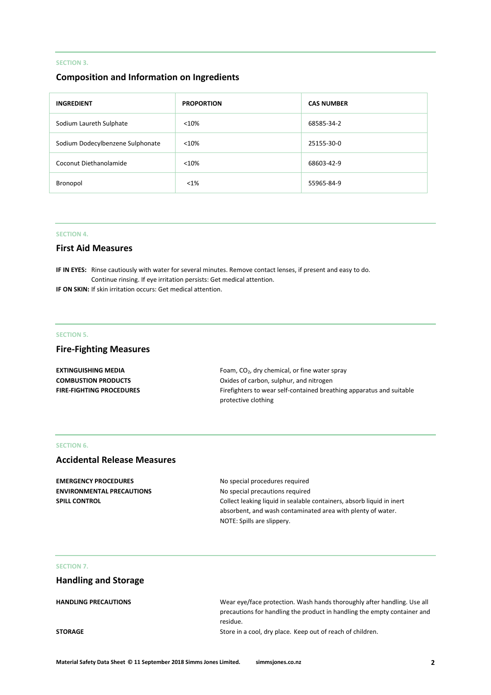#### **SECTION 3.**

# **Composition and Information on Ingredients**

| <b>INGREDIENT</b>                | <b>PROPORTION</b> | <b>CAS NUMBER</b> |
|----------------------------------|-------------------|-------------------|
| Sodium Laureth Sulphate          | < 10%             | 68585-34-2        |
| Sodium Dodecylbenzene Sulphonate | < 10%             | 25155-30-0        |
| Coconut Diethanolamide           | < 10%             | 68603-42-9        |
| Bronopol                         | $< 1\%$           | 55965-84-9        |

#### **SECTION 4.**

#### **First Aid Measures**

**IF IN EYES:** Rinse cautiously with water for several minutes. Remove contact lenses, if present and easy to do. Continue rinsing. If eye irritation persists: Get medical attention.

**IF ON SKIN:** If skin irritation occurs: Get medical attention.

#### **SECTION 5.**

# **Fire-Fighting Measures**

| <b>EXTINGUISHING MEDIA</b>      | Foam, CO <sub>2</sub> , dry chemical, or fine water spray            |
|---------------------------------|----------------------------------------------------------------------|
| <b>COMBUSTION PRODUCTS</b>      | Oxides of carbon, sulphur, and nitrogen                              |
| <b>FIRE-FIGHTING PROCEDURES</b> | Firefighters to wear self-contained breathing apparatus and suitable |
|                                 | protective clothing                                                  |

#### **SECTION 6.**

# **Accidental Release Measures**

**EMERGENCY PROCEDURES** No special procedures required **ENVIRONMENTAL PRECAUTIONS** No special precautions required

**SPILL CONTROL** COLLECT LEAKING In Sealable containers, absorb liquid in inert absorbent, and wash contaminated area with plenty of water. NOTE: Spills are slippery.

#### **SECTION 7.**

# **Handling and Storage**

| <b>HANDLING PRECAUTIONS</b> | Wear eve/face protection. Wash hands thoroughly after handling. Use all  |
|-----------------------------|--------------------------------------------------------------------------|
|                             | precautions for handling the product in handling the empty container and |
|                             | residue.                                                                 |
| <b>STORAGE</b>              | Store in a cool, dry place. Keep out of reach of children.               |
|                             |                                                                          |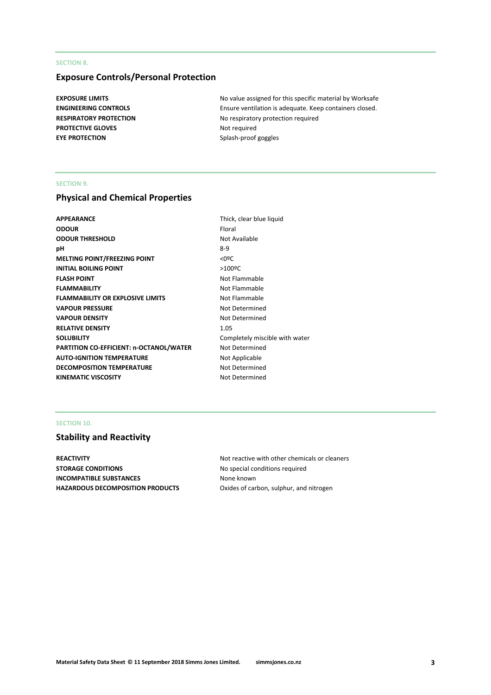#### **SECTION 8.**

# **Exposure Controls/Personal Protection**

**PROTECTIVE GLOVES** Not required **EYE PROTECTION** Splash-proof goggles

**EXPOSURE LIMITS EXPOSURE LIMITS No value assigned for this specific material by Worksafe ENGINEERING CONTROLS** Ensure ventilation is adequate. Keep containers closed. **RESPIRATORY PROTECTION** No respiratory protection required

#### **SECTION 9.**

# **Physical and Chemical Properties**

| <b>APPEARANCE</b>                       | Thick, c |
|-----------------------------------------|----------|
| <b>ODOUR</b>                            | Floral   |
| <b>ODOUR THRESHOLD</b>                  | Not Ava  |
| рH                                      | $8-9$    |
| <b>MELTING POINT/FREEZING POINT</b>     | <0ºC     |
| <b>INITIAL BOILING POINT</b>            | >100°C   |
| <b>FLASH POINT</b>                      | Not Fla  |
| <b>FLAMMABILITY</b>                     | Not Fla  |
| <b>FLAMMABILITY OR EXPLOSIVE LIMITS</b> | Not Fla  |
| <b>VAPOUR PRESSURE</b>                  | Not De   |
| <b>VAPOUR DENSITY</b>                   | Not De   |
| <b>RELATIVE DENSITY</b>                 | 1.05     |
| <b>SOLUBILITY</b>                       | Comple   |
| PARTITION CO-EFFICIENT: n-OCTANOL/WATER | Not De   |
| <b>AUTO-IGNITION TEMPERATURE</b>        | Not Ap   |
| <b>DECOMPOSITION TEMPERATURE</b>        | Not De   |
| <b>KINEMATIC VISCOSITY</b>              | Not De   |
|                                         |          |

Thick, clear blue liquid **Not Available Not Flammable Not Flammable Not Flammable Not Determined Not Determined** Completely miscible with water **Not Determined Not Applicable Not Determined Not Determined** 

#### **SECTION 10.**

# **Stability and Reactivity**

**STORAGE CONDITIONS** No special conditions required **INCOMPATIBLE SUBSTANCES** None known **HAZARDOUS DECOMPOSITION PRODUCTS** Oxides of carbon, sulphur, and nitrogen

**REACTIVITY REACTIVITY Not reactive with other chemicals or cleaners**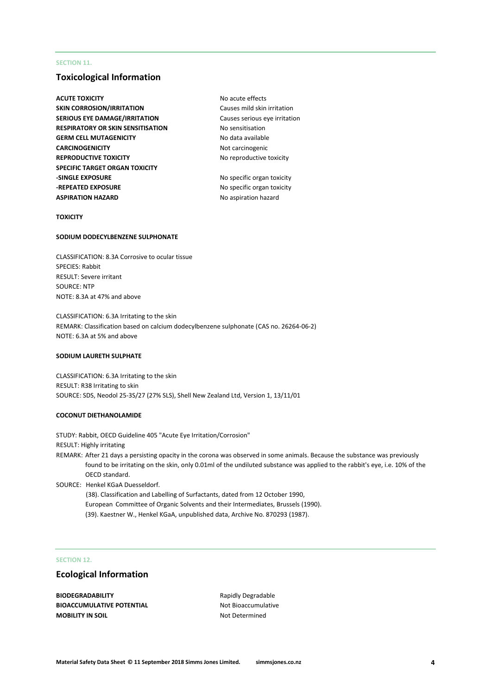#### **SECTION 11.**

## **Toxicological Information**

- **ACUTE TOXICITY NO ACUTE TOXICITY NO ACUTE SKIN CORROSION/IRRITATION** Causes mild skin irritation **SERIOUS EYE DAMAGE/IRRITATION** Causes serious eye irritation **RESPIRATORY OR SKIN SENSITISATION** No sensitisation **GERM CELL MUTAGENICITY** No data available **CARCINOGENICITY** Not carcinogenic **REPRODUCTIVE TOXICITY** No reproductive toxicity **SPECIFIC TARGET ORGAN TOXICITY -SINGLE EXPOSURE** No specific organ toxicity **-REPEATED EXPOSURE** No specific organ toxicity **ASPIRATION HAZARD** No aspiration hazard
	-

#### **TOXICITY**

#### **SODIUM DODECYLBENZENE SULPHONATE**

CLASSIFICATION: 8.3A Corrosive to ocular tissue SPECIES: Rabbit RESULT: Severe irritant SOURCE: NTP NOTE: 8.3A at 47% and above

CLASSIFICATION: 6.3A Irritating to the skin REMARK: Classification based on calcium dodecylbenzene sulphonate (CAS no. 26264-06-2) NOTE: 6.3A at 5% and above

#### **SODIUM LAURETH SULPHATE**

CLASSIFICATION: 6.3A Irritating to the skin RESULT: R38 Irritating to skin SOURCE: SDS, Neodol 25-3S/27 (27% SLS), Shell New Zealand Ltd, Version 1, 13/11/01

#### **COCONUT DIETHANOLAMIDE**

STUDY: Rabbit, OECD Guideline 405 "Acute Eye Irritation/Corrosion" RESULT: Highly irritating REMARK: After 21 days a persisting opacity in the corona was observed in some animals. Because the substance was previously found to be irritating on the skin, only 0.01ml of the undiluted substance was applied to the rabbit's eye, i.e. 10% of the OECD standard. SOURCE: Henkel KGaA Duesseldorf. (38). Classification and Labelling of Surfactants, dated from 12 October 1990,

European Committee of Organic Solvents and their Intermediates, Brussels (1990). (39). Kaestner W., Henkel KGaA, unpublished data, Archive No. 870293 (1987).

#### **SECTION 12.**

## **Ecological Information**

**BIODEGRADABILITY** Rapidly Degradable **BIOACCUMULATIVE POTENTIAL** Not Bioaccumulative **MOBILITY IN SOIL** NOT Determined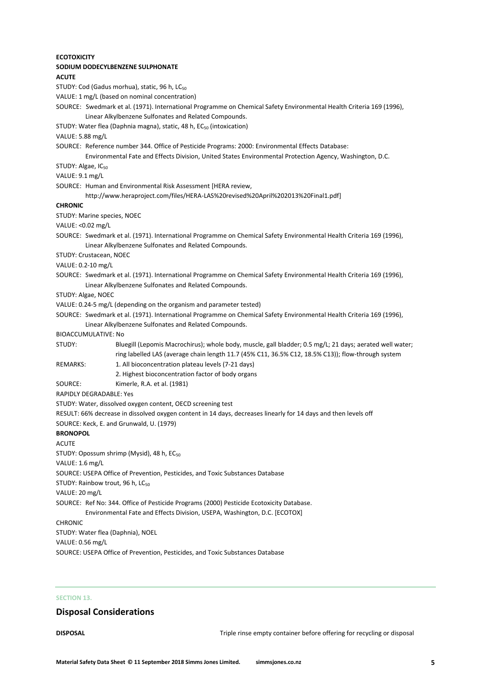| ECOTOXICITY      |                                                                                                                                                                                                                |
|------------------|----------------------------------------------------------------------------------------------------------------------------------------------------------------------------------------------------------------|
|                  | SODIUM DODECYLBENZENE SULPHONATE                                                                                                                                                                               |
| <b>ACUTE</b>     |                                                                                                                                                                                                                |
|                  | STUDY: Cod (Gadus morhua), static, 96 h, LC <sub>50</sub>                                                                                                                                                      |
|                  | VALUE: 1 mg/L (based on nominal concentration)                                                                                                                                                                 |
|                  | SOURCE: Swedmark et al. (1971). International Programme on Chemical Safety Environmental Health Criteria 169 (1996),                                                                                           |
|                  | Linear Alkylbenzene Sulfonates and Related Compounds.                                                                                                                                                          |
|                  | STUDY: Water flea (Daphnia magna), static, 48 h, EC <sub>50</sub> (intoxication)                                                                                                                               |
| VALUE: 5.88 mg/L |                                                                                                                                                                                                                |
|                  | SOURCE: Reference number 344. Office of Pesticide Programs: 2000: Environmental Effects Database:<br>Environmental Fate and Effects Division, United States Environmental Protection Agency, Washington, D.C.  |
|                  | STUDY: Algae, IC <sub>50</sub>                                                                                                                                                                                 |
| VALUE: 9.1 mg/L  |                                                                                                                                                                                                                |
|                  | SOURCE: Human and Environmental Risk Assessment [HERA review,                                                                                                                                                  |
|                  | http://www.heraproject.com/files/HERA-LAS%20revised%20April%202013%20Final1.pdf]                                                                                                                               |
| <b>CHRONIC</b>   |                                                                                                                                                                                                                |
|                  | STUDY: Marine species, NOEC                                                                                                                                                                                    |
|                  | VALUE: <0.02 mg/L                                                                                                                                                                                              |
|                  | SOURCE: Swedmark et al. (1971). International Programme on Chemical Safety Environmental Health Criteria 169 (1996),<br>Linear Alkylbenzene Sulfonates and Related Compounds.                                  |
|                  | STUDY: Crustacean, NOEC                                                                                                                                                                                        |
|                  | VALUE: 0.2-10 mg/L                                                                                                                                                                                             |
|                  | SOURCE: Swedmark et al. (1971). International Programme on Chemical Safety Environmental Health Criteria 169 (1996),<br>Linear Alkylbenzene Sulfonates and Related Compounds.                                  |
|                  | STUDY: Algae, NOEC                                                                                                                                                                                             |
|                  | VALUE: 0.24-5 mg/L (depending on the organism and parameter tested)                                                                                                                                            |
|                  | SOURCE: Swedmark et al. (1971). International Programme on Chemical Safety Environmental Health Criteria 169 (1996),                                                                                           |
|                  | Linear Alkylbenzene Sulfonates and Related Compounds.                                                                                                                                                          |
|                  | BIOACCUMULATIVE: No                                                                                                                                                                                            |
| STUDY:           | Bluegill (Lepomis Macrochirus); whole body, muscle, gall bladder; 0.5 mg/L; 21 days; aerated well water;<br>ring labelled LAS (average chain length 11.7 (45% C11, 36.5% C12, 18.5% C13)); flow-through system |
| REMARKS:         | 1. All bioconcentration plateau levels (7-21 days)                                                                                                                                                             |
|                  | 2. Highest bioconcentration factor of body organs                                                                                                                                                              |
| SOURCE:          | Kimerle, R.A. et al. (1981)                                                                                                                                                                                    |
|                  | RAPIDLY DEGRADABLE: Yes                                                                                                                                                                                        |
|                  | STUDY: Water, dissolved oxygen content, OECD screening test                                                                                                                                                    |
|                  | RESULT: 66% decrease in dissolved oxygen content in 14 days, decreases linearly for 14 days and then levels off                                                                                                |
|                  | SOURCE: Keck, E. and Grunwald, U. (1979)                                                                                                                                                                       |
| <b>BRONOPOL</b>  |                                                                                                                                                                                                                |
| ACUTE            |                                                                                                                                                                                                                |
|                  | STUDY: Opossum shrimp (Mysid), 48 h, EC <sub>50</sub>                                                                                                                                                          |
| VALUE: 1.6 mg/L  | SOURCE: USEPA Office of Prevention, Pesticides, and Toxic Substances Database                                                                                                                                  |
|                  | STUDY: Rainbow trout, 96 h, LC <sub>50</sub>                                                                                                                                                                   |
|                  |                                                                                                                                                                                                                |
| VALUE: 20 mg/L   | SOURCE: Ref No: 344. Office of Pesticide Programs (2000) Pesticide Ecotoxicity Database.                                                                                                                       |
|                  | Environmental Fate and Effects Division, USEPA, Washington, D.C. [ECOTOX]                                                                                                                                      |
| CHRONIC          |                                                                                                                                                                                                                |
|                  | STUDY: Water flea (Daphnia), NOEL                                                                                                                                                                              |
| VALUE: 0.56 mg/L |                                                                                                                                                                                                                |
|                  | SOURCE: USEPA Office of Prevention, Pesticides, and Toxic Substances Database                                                                                                                                  |
|                  |                                                                                                                                                                                                                |
|                  |                                                                                                                                                                                                                |

# **SECTION 13.**

# **Disposal Considerations**

**DISPOSAL** DISPOSAL **DISPOSAL Triple rinse empty container before offering for recycling or disposal**